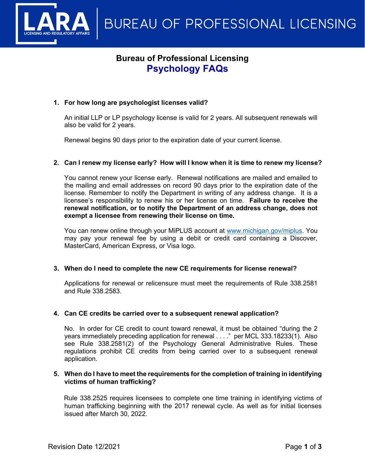

# **Bureau of Professional Licensing Psychology FAQs**

# **1. For how long are psychologist licenses valid?**

An initial LLP or LP psychology license is valid for 2 years. All subsequent renewals will also be valid for 2 years.

Renewal begins 90 days prior to the expiration date of your current license.

# **2. Can I renew my license early? How will I know when it is time to renew my license?**

You cannot renew your license early. Renewal notifications are mailed and emailed to the mailing and email addresses on record 90 days prior to the expiration date of the license. Remember to notify the Department in writing of any address change. It is a licensee's responsibility to renew his or her license on time. **Failure to receive the renewal notification, or to notify the Department of an address change, does not exempt a licensee from renewing their license on time.**

You can renew online through your MiPLUS account at [www.michigan.gov/miplus.](http://www.michigan.gov/miplus) You may pay your renewal fee by using a debit or credit card containing a Discover, MasterCard, American Express, or Visa logo.

# **3. When do I need to complete the new CE requirements for license renewal?**

Applications for renewal or relicensure must meet the requirements of Rule 338.2581 and Rule 338.2583.

# **4. Can CE credits be carried over to a subsequent renewal application?**

No. In order for CE credit to count toward renewal, it must be obtained "during the 2 years immediately preceding application for renewal . . . ." per MCL 333.18233(1). Also see Rule 338.2581(2) of the Psychology General Administrative Rules. These regulations prohibit CE credits from being carried over to a subsequent renewal application.

#### **5. When do I have to meet the requirements for the completion of training in identifying victims of human trafficking?**

Rule 338.2525 requires licensees to complete one time training in identifying victims of human trafficking beginning with the 2017 renewal cycle. As well as for initial licenses issued after March 30, 2022.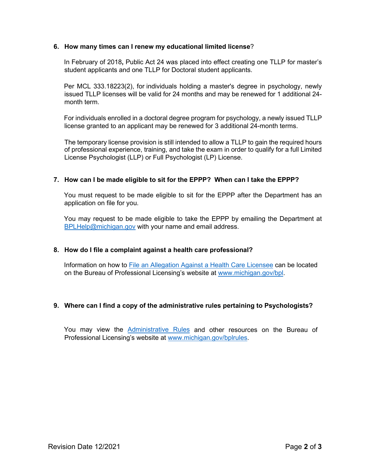#### **6. How many times can I renew my educational limited license**?

In February of 2018**,** Public Act 24 was placed into effect creating one TLLP for master's student applicants and one TLLP for Doctoral student applicants.

Per MCL 333.18223(2), for individuals holding a master's degree in psychology, newly issued TLLP licenses will be valid for 24 months and may be renewed for 1 additional 24 month term.

For individuals enrolled in a doctoral degree program for psychology, a newly issued TLLP license granted to an applicant may be renewed for 3 additional 24-month terms.

The temporary license provision is still intended to allow a TLLP to gain the required hours of professional experience, training, and take the exam in order to qualify for a full Limited License Psychologist (LLP) or Full Psychologist (LP) License.

#### **7. How can I be made eligible to sit for the EPPP? When can I take the EPPP?**

You must request to be made eligible to sit for the EPPP after the Department has an application on file for you.

You may request to be made eligible to take the EPPP by emailing the Department at [BPLHelp@michigan.gov](mailto:BPLHelp@michigan.gov) with your name and email address.

# **8. How do I file a complaint against a health care professional?**

Information on how to [File an Allegation Against a Health Care Licensee](http://www.michigan.gov/lara/0,4601,7-154-72600_73836---,00.html) can be located on the Bureau of Professional Licensing's website at [www.michigan.gov/bpl.](http://www.michigan.gov/bpl)

# **9. Where can I find a copy of the administrative rules pertaining to Psychologists?**

You may view the [Administrative Rules](https://www.michigan.gov/lara/0,4601,7-154-89334_72600_72783---,00.html) and other resources on the Bureau of Professional Licensing's website at [www.michigan.gov/bplrules.](http://www.michigan.gov/bplrules)